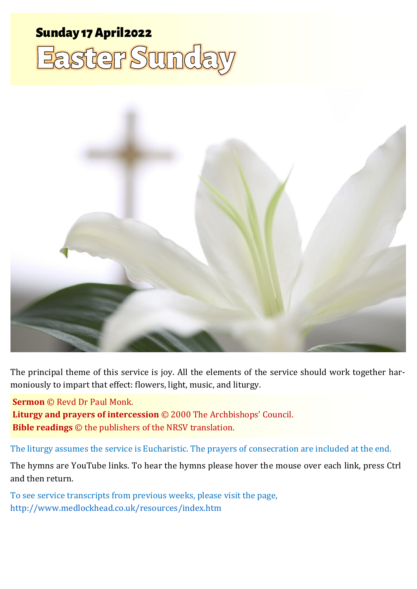# Sunday 17 April <sup>2022</sup> <sup>1</sup> **Easter Day** Sunday 17 April2022 **Easter Sunda**



The principal theme of this service is joy. All the elements of the service should work together harmoniously to impart that effect: flowers, light, music, and liturgy.

**Sermon** © Revd Dr Paul Monk.

**Liturgy and prayers of intercession** © 2000 The Archbishops' Council. **Bible readings** © the publishers of the NRSV translation.

The liturgy assumes the service is Eucharistic. The prayers of consecration are included at the end.

The hymns are YouTube links. To hear the hymns please hover the mouse over each link, press Ctrl and then return.

To see service transcripts from previous weeks, please visit the page, <http://www.medlockhead.co.uk/resources/index.htm>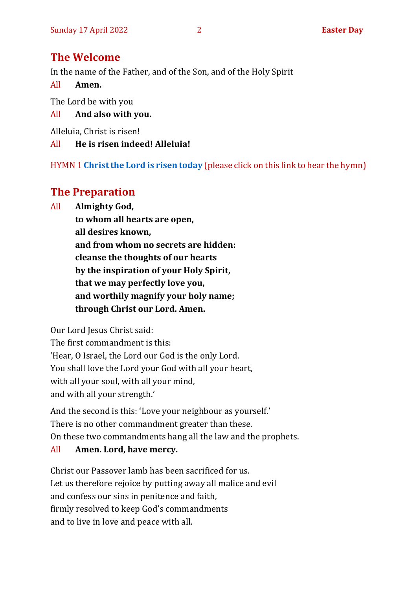## **The Welcome**

In the name of the Father, and of the Son, and of the Holy Spirit

All **Amen.**

The Lord be with you

All **And also with you.**

Alleluia, Christ is risen!

All **He is risen indeed! Alleluia!**

HYMN 1 **[Christ the Lord is risen today](https://youtu.be/XveIGmAUdkQ)** (please click on this link to hear the hymn)

## **The Preparation**

All **Almighty God,**

**to whom all hearts are open, all desires known, and from whom no secrets are hidden: cleanse the thoughts of our hearts by the inspiration of your Holy Spirit, that we may perfectly love you, and worthily magnify your holy name; through Christ our Lord. Amen.**

Our Lord Jesus Christ said:

The first commandment is this: 'Hear, O Israel, the Lord our God is the only Lord. You shall love the Lord your God with all your heart, with all your soul, with all your mind, and with all your strength.'

And the second is this: 'Love your neighbour as yourself.' There is no other commandment greater than these. On these two commandments hang all the law and the prophets.

#### All **Amen. Lord, have mercy.**

Christ our Passover lamb has been sacrificed for us. Let us therefore rejoice by putting away all malice and evil and confess our sins in penitence and faith, firmly resolved to keep God's commandments and to live in love and peace with all.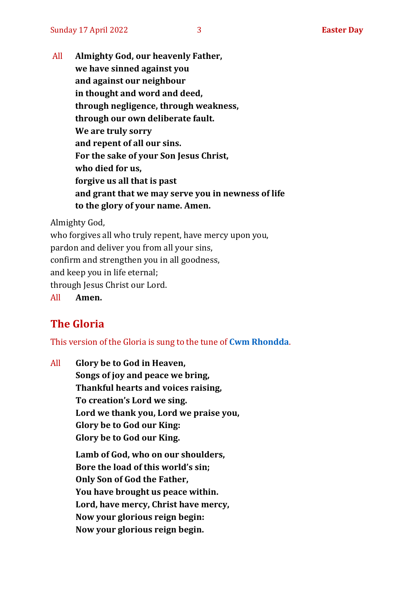All **Almighty God, our heavenly Father, we have sinned against you and against our neighbour in thought and word and deed, through negligence, through weakness, through our own deliberate fault. We are truly sorry and repent of all our sins. For the sake of your Son Jesus Christ, who died for us, forgive us all that is past and grant that we may serve you in newness of life to the glory of your name. Amen.**

Almighty God,

who forgives all who truly repent, have mercy upon you, pardon and deliver you from all your sins, confirm and strengthen you in all goodness, and keep you in life eternal; through Jesus Christ our Lord.

All **Amen.**

## **The Gloria**

This version of the Gloria is sung to the tune of **[Cwm Rhondda](https://www.youtube.com/watch?v=BtGhnEwY74E)**.

All **Glory be to God in Heaven, Songs of joy and peace we bring, Thankful hearts and voices raising, To creation's Lord we sing. Lord we thank you, Lord we praise you, Glory be to God our King: Glory be to God our King. Lamb of God, who on our shoulders, Bore the load of this world's sin; Only Son of God the Father, You have brought us peace within. Lord, have mercy, Christ have mercy, Now your glorious reign begin:**

**Now your glorious reign begin.**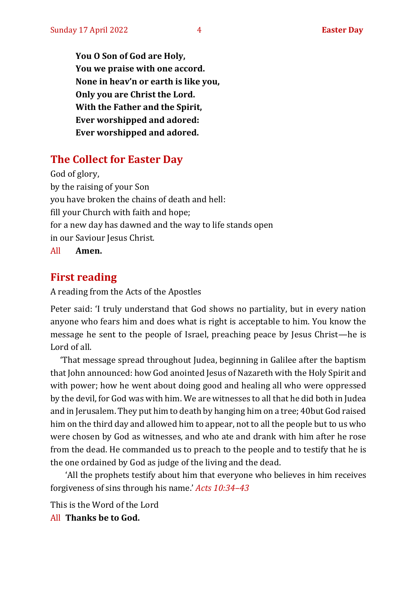**You O Son of God are Holy, You we praise with one accord. None in heav'n or earth is like you, Only you are Christ the Lord. With the Father and the Spirit, Ever worshipped and adored: Ever worshipped and adored.**

## **The Collect for Easter Day**

God of glory, by the raising of your Son you have broken the chains of death and hell: fill your Church with faith and hope; for a new day has dawned and the way to life stands open in our Saviour Jesus Christ.

All **Amen.**

## **First reading**

A reading from the Acts of the Apostles

Peter said: 'I truly understand that God shows no partiality, but in every nation anyone who fears him and does what is right is acceptable to him. You know the message he sent to the people of Israel, preaching peace by Jesus Christ—he is Lord of all.

'That message spread throughout Judea, beginning in Galilee after the baptism that John announced: how God anointed Jesus of Nazareth with the Holy Spirit and with power; how he went about doing good and healing all who were oppressed by the devil, for God was with him. We are witnesses to all that he did both in Judea and in Jerusalem. They put him to death by hanging him on a tree; 40but God raised him on the third day and allowed him to appear, not to all the people but to us who were chosen by God as witnesses, and who ate and drank with him after he rose from the dead. He commanded us to preach to the people and to testify that he is the one ordained by God as judge of the living and the dead.

'All the prophets testify about him that everyone who believes in him receives forgiveness of sins through his name.' *Acts 10:34–43*

This is the Word of the Lord All **Thanks be to God.**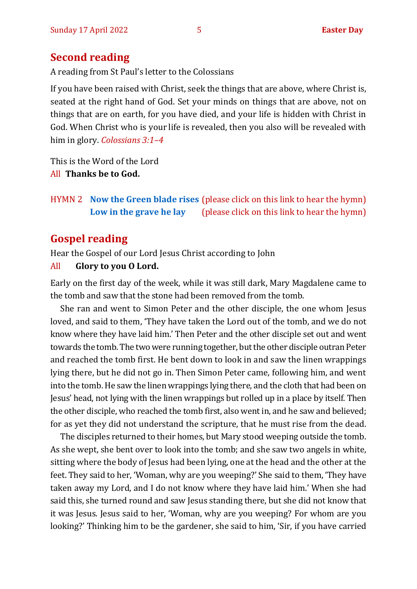#### **Second reading**

A reading from St Paul's letter to the Colossians

If you have been raised with Christ, seek the things that are above, where Christ is, seated at the right hand of God. Set your minds on things that are above, not on things that are on earth, for you have died, and your life is hidden with Christ in God. When Christ who is your life is revealed, then you also will be revealed with him in glory. *Colossians 3:1–4*

This is the Word of the Lord All **Thanks be to God.**

HYMN 2 **[Now the Green blade rises](https://www.youtube.com/watch?v=UVduV0ustWw)** (please click on this link to hear the hymn) **[Low in the grave he lay](https://www.youtube.com/watch?v=CtxSWcfH9hk)** (please click on this link to hear the hymn)

## **Gospel reading**

Hear the Gospel of our Lord Jesus Christ according to John

#### All **Glory to you O Lord.**

Early on the first day of the week, while it was still dark, Mary Magdalene came to the tomb and saw that the stone had been removed from the tomb.

She ran and went to Simon Peter and the other disciple, the one whom Jesus loved, and said to them, 'They have taken the Lord out of the tomb, and we do not know where they have laid him.' Then Peter and the other disciple set out and went towards the tomb. The two were running together, but the other disciple outran Peter and reached the tomb first. He bent down to look in and saw the linen wrappings lying there, but he did not go in. Then Simon Peter came, following him, and went into the tomb. He saw the linen wrappings lying there, and the cloth that had been on Jesus' head, not lying with the linen wrappings but rolled up in a place by itself. Then the other disciple, who reached the tomb first, also went in, and he saw and believed; for as yet they did not understand the scripture, that he must rise from the dead.

The disciples returned to their homes, but Mary stood weeping outside the tomb. As she wept, she bent over to look into the tomb; and she saw two angels in white, sitting where the body of Jesus had been lying, one at the head and the other at the feet. They said to her, 'Woman, why are you weeping?' She said to them, 'They have taken away my Lord, and I do not know where they have laid him.' When she had said this, she turned round and saw Jesus standing there, but she did not know that it was Jesus. Jesus said to her, 'Woman, why are you weeping? For whom are you looking?' Thinking him to be the gardener, she said to him, 'Sir, if you have carried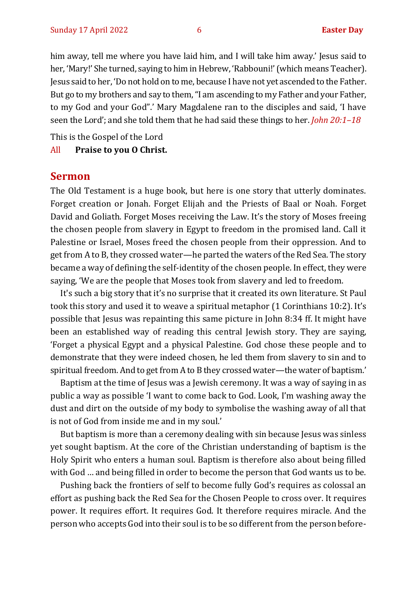him away, tell me where you have laid him, and I will take him away.' Jesus said to her, 'Mary!' She turned, saying to him in Hebrew, 'Rabbouni!' (which means Teacher). Jesus said to her, 'Do not hold on to me, because I have not yet ascended to the Father. But go to my brothers and say to them, "I am ascending to my Father and your Father, to my God and your God".' Mary Magdalene ran to the disciples and said, 'I have seen the Lord'; and she told them that he had said these things to her. *John 20:1–18*

This is the Gospel of the Lord

All **Praise to you O Christ.** 

#### **Sermon**

The Old Testament is a huge book, but here is one story that utterly dominates. Forget creation or Jonah. Forget Elijah and the Priests of Baal or Noah. Forget David and Goliath. Forget Moses receiving the Law. It's the story of Moses freeing the chosen people from slavery in Egypt to freedom in the promised land. Call it Palestine or Israel, Moses freed the chosen people from their oppression. And to get from A to B, they crossed water—he parted the waters of the Red Sea. The story became a way of defining the self-identity of the chosen people. In effect, they were saying, 'We are the people that Moses took from slavery and led to freedom.

It's such a big story that it's no surprise that it created its own literature. St Paul took this story and used it to weave a spiritual metaphor (1 Corinthians 10:2). It's possible that Jesus was repainting this same picture in John 8:34 ff. It might have been an established way of reading this central Jewish story. They are saying, 'Forget a physical Egypt and a physical Palestine. God chose these people and to demonstrate that they were indeed chosen, he led them from slavery to sin and to spiritual freedom. And to get from A to B they crossed water—the water of baptism.'

Baptism at the time of Jesus was a Jewish ceremony. It was a way of saying in as public a way as possible 'I want to come back to God. Look, I'm washing away the dust and dirt on the outside of my body to symbolise the washing away of all that is not of God from inside me and in my soul.'

But baptism is more than a ceremony dealing with sin because Jesus was sinless yet sought baptism. At the core of the Christian understanding of baptism is the Holy Spirit who enters a human soul. Baptism is therefore also about being filled with God … and being filled in order to become the person that God wants us to be.

Pushing back the frontiers of self to become fully God's requires as colossal an effort as pushing back the Red Sea for the Chosen People to cross over. It requires power. It requires effort. It requires God. It therefore requires miracle. And the person who accepts God into their soul is to be so different from the person before-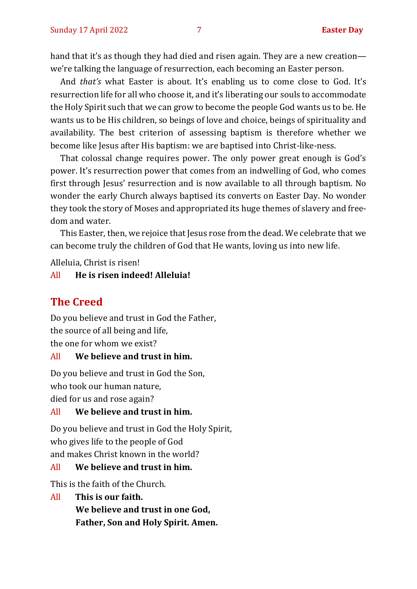hand that it's as though they had died and risen again. They are a new creation we're talking the language of resurrection, each becoming an Easter person.

And *that's* what Easter is about. It's enabling us to come close to God. It's resurrection life for all who choose it, and it's liberating our souls to accommodate the Holy Spirit such that we can grow to become the people God wants us to be. He wants us to be His children, so beings of love and choice, beings of spirituality and availability. The best criterion of assessing baptism is therefore whether we become like Jesus after His baptism: we are baptised into Christ-like-ness.

That colossal change requires power. The only power great enough is God's power. It's resurrection power that comes from an indwelling of God, who comes first through Jesus' resurrection and is now available to all through baptism. No wonder the early Church always baptised its converts on Easter Day. No wonder they took the story of Moses and appropriated its huge themes of slavery and freedom and water.

This Easter, then, we rejoice that Jesus rose from the dead. We celebrate that we can become truly the children of God that He wants, loving us into new life.

Alleluia, Christ is risen!

#### All **He is risen indeed! Alleluia!**

#### **The Creed**

Do you believe and trust in God the Father, the source of all being and life, the one for whom we exist?

#### All **We believe and trust in him.**

Do you believe and trust in God the Son, who took our human nature, died for us and rose again?

#### All **We believe and trust in him.**

Do you believe and trust in God the Holy Spirit, who gives life to the people of God and makes Christ known in the world?

#### All **We believe and trust in him.**

This is the faith of the Church.

All **This is our faith.**

**We believe and trust in one God, Father, Son and Holy Spirit. Amen.**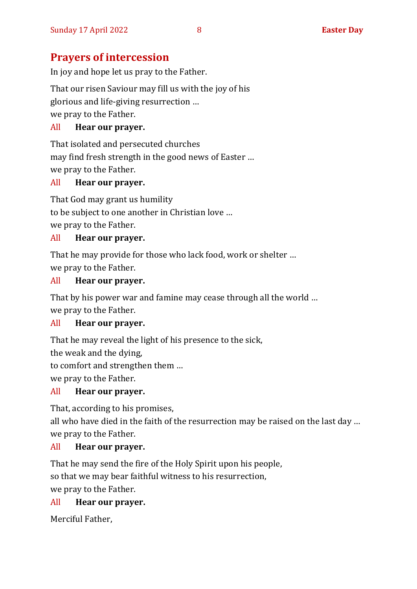## **Prayers of intercession**

In joy and hope let us pray to the Father.

That our risen Saviour may fill us with the joy of his

glorious and life-giving resurrection …

we pray to the Father.

#### All **Hear our prayer.**

That isolated and persecuted churches may find fresh strength in the good news of Easter … we pray to the Father.

#### All **Hear our prayer.**

That God may grant us humility to be subject to one another in Christian love … we pray to the Father.

#### All **Hear our prayer.**

That he may provide for those who lack food, work or shelter … we pray to the Father.

#### All **Hear our prayer.**

That by his power war and famine may cease through all the world … we pray to the Father.

#### All **Hear our prayer.**

That he may reveal the light of his presence to the sick,

the weak and the dying,

to comfort and strengthen them …

we pray to the Father.

#### All **Hear our prayer.**

That, according to his promises,

all who have died in the faith of the resurrection may be raised on the last day … we pray to the Father.

#### All **Hear our prayer.**

That he may send the fire of the Holy Spirit upon his people,

so that we may bear faithful witness to his resurrection,

we pray to the Father.

#### All **Hear our prayer.**

Merciful Father,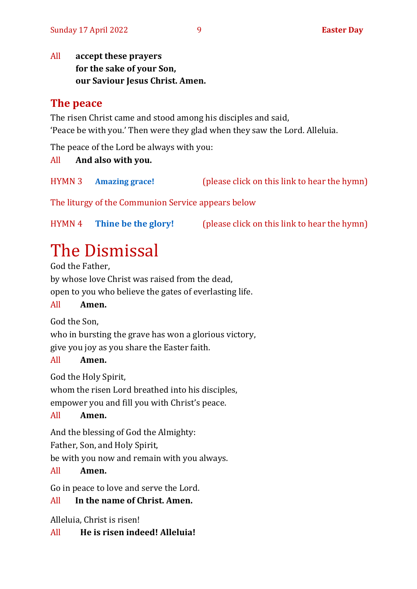All **accept these prayers for the sake of your Son, our Saviour Jesus Christ. Amen.**

## **The peace**

The risen Christ came and stood among his disciples and said, 'Peace be with you.' Then were they glad when they saw the Lord. Alleluia.

The peace of the Lord be always with you:

All **And also with you.**

HYMN 3 **[Amazing grace!](https://youtu.be/yjRlXilfJk0)** (please click on this link to hear the hymn)

The liturgy of the Communion Service appears below

HYMN 4 **[Thine be the glory!](https://youtu.be/Tjz4yXUJrgU)** (please click on this link to hear the hymn)

## The Dismissal

God the Father, by whose love Christ was raised from the dead, open to you who believe the gates of everlasting life.

#### All **Amen.**

God the Son,

who in bursting the grave has won a glorious victory, give you joy as you share the Easter faith.

#### All **Amen.**

God the Holy Spirit,

whom the risen Lord breathed into his disciples,

empower you and fill you with Christ's peace.

#### All **Amen.**

And the blessing of God the Almighty:

Father, Son, and Holy Spirit,

be with you now and remain with you always.

#### All **Amen.**

Go in peace to love and serve the Lord.

#### All **In the name of Christ. Amen.**

Alleluia, Christ is risen!

#### All **He is risen indeed! Alleluia!**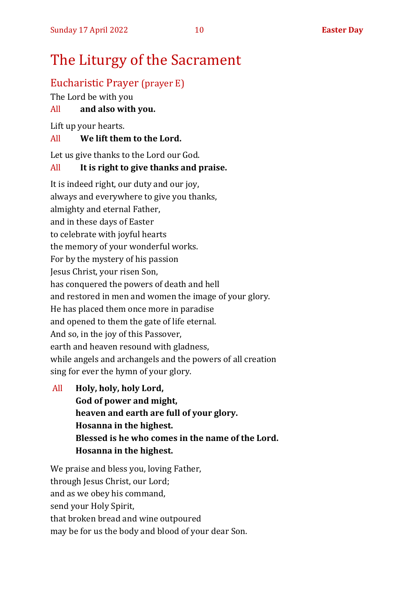## The Liturgy of the Sacrament

## Eucharistic Prayer (prayer E)

The Lord be with you

#### All **and also with you.**

Lift up your hearts.

#### All **We lift them to the Lord.**

Let us give thanks to the Lord our God.

#### All **It is right to give thanks and praise.**

It is indeed right, our duty and our joy, always and everywhere to give you thanks, almighty and eternal Father, and in these days of Easter to celebrate with joyful hearts the memory of your wonderful works. For by the mystery of his passion Jesus Christ, your risen Son, has conquered the powers of death and hell and restored in men and women the image of your glory. He has placed them once more in paradise and opened to them the gate of life eternal. And so, in the joy of this Passover, earth and heaven resound with gladness, while angels and archangels and the powers of all creation sing for ever the hymn of your glory.

All **Holy, holy, holy Lord, God of power and might, heaven and earth are full of your glory. Hosanna in the highest. Blessed is he who comes in the name of the Lord. Hosanna in the highest.**

We praise and bless you, loving Father, through Jesus Christ, our Lord; and as we obey his command, send your Holy Spirit, that broken bread and wine outpoured may be for us the body and blood of your dear Son.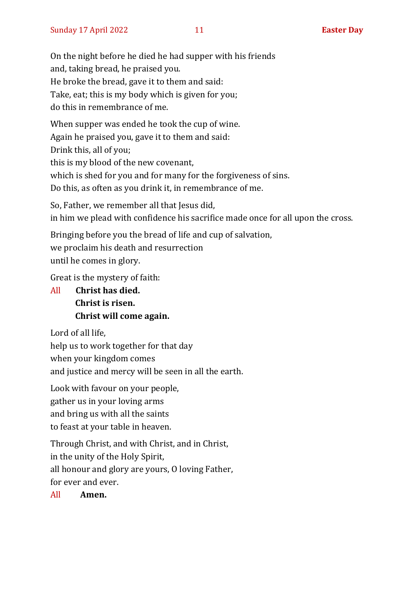On the night before he died he had supper with his friends and, taking bread, he praised you. He broke the bread, gave it to them and said: Take, eat; this is my body which is given for you; do this in remembrance of me.

When supper was ended he took the cup of wine. Again he praised you, gave it to them and said: Drink this, all of you; this is my blood of the new covenant, which is shed for you and for many for the forgiveness of sins. Do this, as often as you drink it, in remembrance of me.

So, Father, we remember all that Jesus did, in him we plead with confidence his sacrifice made once for all upon the cross.

Bringing before you the bread of life and cup of salvation, we proclaim his death and resurrection until he comes in glory.

Great is the mystery of faith:

All **Christ has died. Christ is risen. Christ will come again.**

Lord of all life,

help us to work together for that day

when your kingdom comes

and justice and mercy will be seen in all the earth.

Look with favour on your people, gather us in your loving arms and bring us with all the saints to feast at your table in heaven.

Through Christ, and with Christ, and in Christ, in the unity of the Holy Spirit, all honour and glory are yours, O loving Father, for ever and ever.

All **Amen.**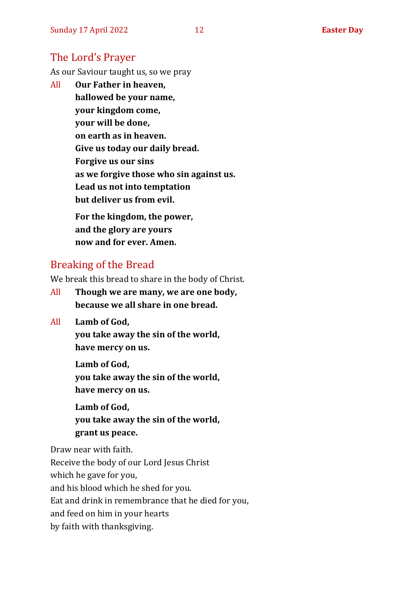### The Lord's Prayer

As our Saviour taught us, so we pray

All **Our Father in heaven, hallowed be your name, your kingdom come, your will be done, on earth as in heaven. Give us today our daily bread. Forgive us our sins as we forgive those who sin against us. Lead us not into temptation but deliver us from evil. For the kingdom, the power,** 

**and the glory are yours now and for ever. Amen.**

#### Breaking of the Bread

We break this bread to share in the body of Christ.

- All **Though we are many, we are one body, because we all share in one bread.**
- All **Lamb of God,**

**you take away the sin of the world, have mercy on us.**

**Lamb of God, you take away the sin of the world, have mercy on us.**

**Lamb of God, you take away the sin of the world, grant us peace.**

Draw near with faith. Receive the body of our Lord Jesus Christ which he gave for you, and his blood which he shed for you. Eat and drink in remembrance that he died for you, and feed on him in your hearts by faith with thanksgiving.